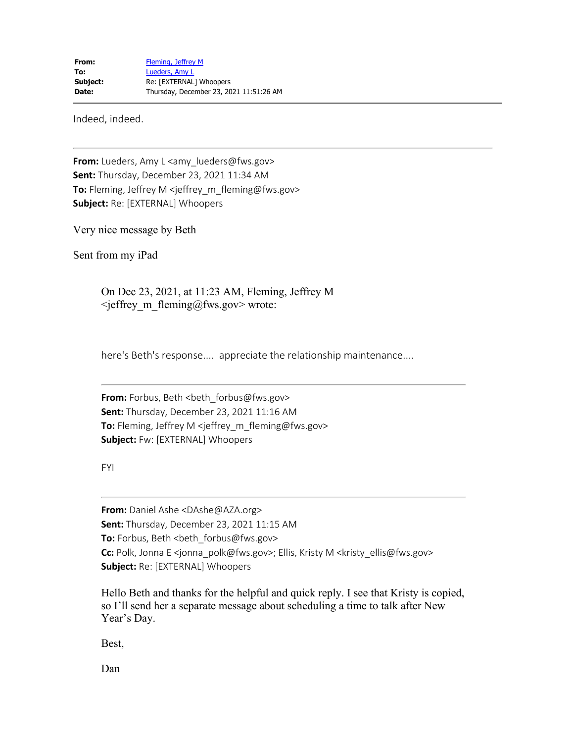Indeed, indeed.

**From:** Lueders, Amy L <amy\_lueders@fws.gov> **Sent:** Thursday, December 23, 2021 11:34 AM **To:** Fleming, Jeffrey M <jeffrey\_m\_fleming@fws.gov> **Subject:** Re: [EXTERNAL] Whoopers

Very nice message by Beth

Sent from my iPad

On Dec 23, 2021, at 11:23 AM, Fleming, Jeffrey M  $\leq$ jeffrey m fleming@fws.gov> wrote:

here's Beth's response.... appreciate the relationship maintenance....

**From:** Forbus, Beth <br />beth forbus@fws.gov> **Sent:** Thursday, December 23, 2021 11:16 AM **To:** Fleming, Jeffrey M <jeffrey\_m\_fleming@fws.gov> **Subject:** Fw: [EXTERNAL] Whoopers

FYI

**From:** Daniel Ashe <DAshe@AZA.org> **Sent:** Thursday, December 23, 2021 11:15 AM **To:** Forbus, Beth <beth\_forbus@fws.gov> **Cc:** Polk, Jonna E <jonna\_polk@fws.gov>; Ellis, Kristy M <kristy\_ellis@fws.gov> **Subject:** Re: [EXTERNAL] Whoopers

Hello Beth and thanks for the helpful and quick reply. I see that Kristy is copied, so I'll send her a separate message about scheduling a time to talk after New Year's Day.

Best,

Dan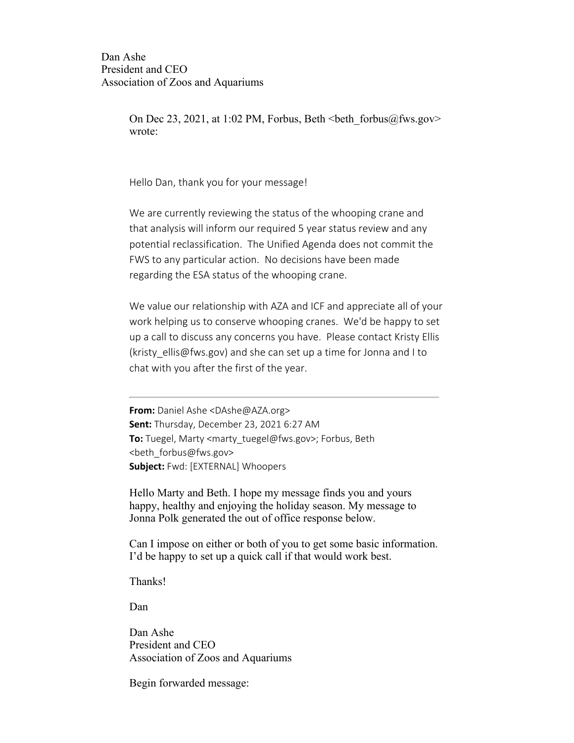Dan Ashe President and CEO Association of Zoos and Aquariums

> On Dec 23, 2021, at 1:02 PM, Forbus, Beth  $\leq$ beth forbus@fws.gov> wrote:

Hello Dan, thank you for your message!

We are currently reviewing the status of the whooping crane and that analysis will inform our required 5 year status review and any potential reclassification. The Unified Agenda does not commit the FWS to any particular action. No decisions have been made regarding the ESA status of the whooping crane.

We value our relationship with AZA and ICF and appreciate all of your work helping us to conserve whooping cranes. We'd be happy to set up a call to discuss any concerns you have. Please contact Kristy Ellis (kristy ellis@fws.gov) and she can set up a time for Jonna and I to chat with you after the first of the year.

**From:** Daniel Ashe <DAshe@AZA.org> **Sent:** Thursday, December 23, 2021 6:27 AM **To:** Tuegel, Marty <marty\_tuegel@fws.gov>; Forbus, Beth <beth\_forbus@fws.gov> **Subject:** Fwd: [EXTERNAL] Whoopers

Hello Marty and Beth. I hope my message finds you and yours happy, healthy and enjoying the holiday season. My message to Jonna Polk generated the out of office response below.

Can I impose on either or both of you to get some basic information. I'd be happy to set up a quick call if that would work best.

Thanks!

Dan

Dan Ashe President and CEO Association of Zoos and Aquariums

Begin forwarded message: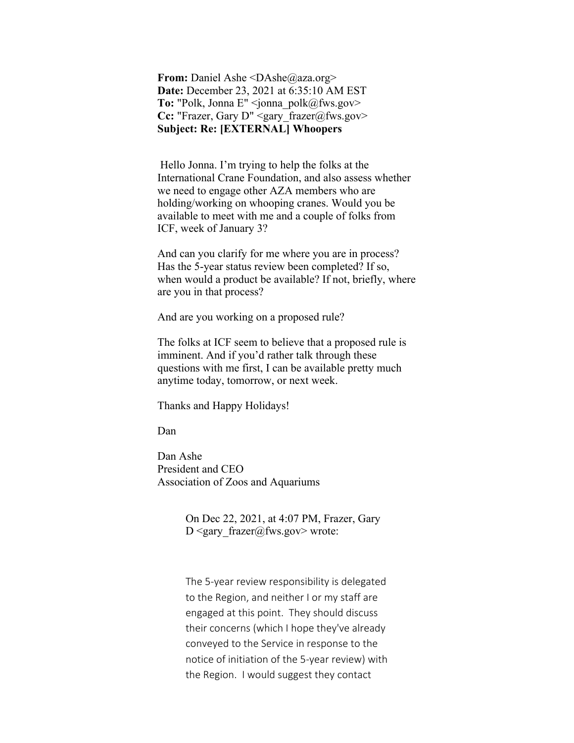**From:** Daniel Ashe <DAshe@aza.org> **Date:** December 23, 2021 at 6:35:10 AM EST To: "Polk, Jonna E" <jonna\_polk@fws.gov> Cc: "Frazer, Gary D" <gary frazer@fws.gov> **Subject: Re: [EXTERNAL] Whoopers**

 Hello Jonna. I'm trying to help the folks at the International Crane Foundation, and also assess whether we need to engage other AZA members who are holding/working on whooping cranes. Would you be available to meet with me and a couple of folks from ICF, week of January 3?

And can you clarify for me where you are in process? Has the 5-year status review been completed? If so, when would a product be available? If not, briefly, where are you in that process?

And are you working on a proposed rule?

The folks at ICF seem to believe that a proposed rule is imminent. And if you'd rather talk through these questions with me first, I can be available pretty much anytime today, tomorrow, or next week.

Thanks and Happy Holidays!

Dan

Dan Ashe President and CEO Association of Zoos and Aquariums

> On Dec 22, 2021, at 4:07 PM, Frazer, Gary D <gary  $frac@fws.gov>$  wrote:

The 5-year review responsibility is delegated to the Region, and neither I or my staff are engaged at this point. They should discuss their concerns (which I hope they've already conveyed to the Service in response to the notice of initiation of the 5-year review) with the Region. I would suggest they contact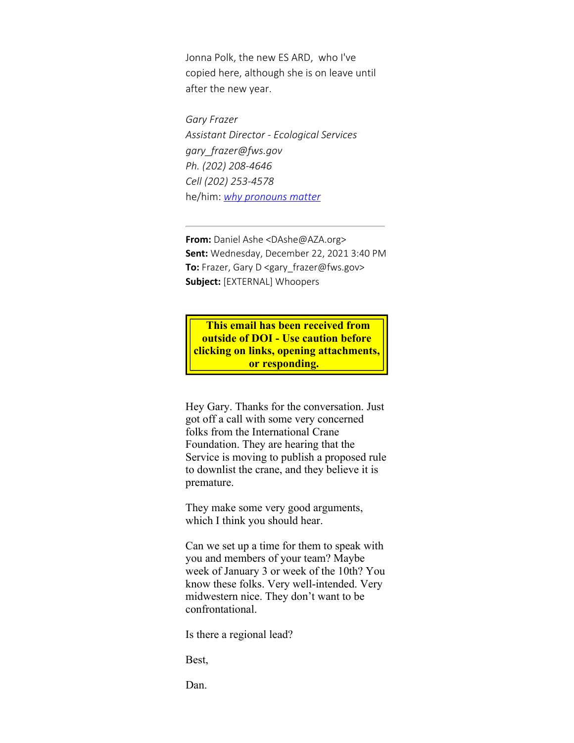Jonna Polk, the new ES ARD, who I've copied here, although she is on leave until after the new year.

*Gary Frazer Assistant Director - Ecological Services gary\_frazer@fws.gov Ph. (202) 208-4646 Cell (202) 253-4578* he/him: *[why pronouns matter](https://gcc02.safelinks.protection.outlook.com/?url=https%3A%2F%2Fwww.mypronouns.org%2Fwhat-and-why&data=04%7C01%7Cjeffrey_m_fleming%40fws.gov%7C050ac281b4234c41bada08d9c642e8b2%7C0693b5ba4b184d7b9341f32f400a5494%7C0%7C0%7C637758812933733443%7CUnknown%7CTWFpbGZsb3d8eyJWIjoiMC4wLjAwMDAiLCJQIjoiV2luMzIiLCJBTiI6Ik1haWwiLCJXVCI6Mn0%3D%7C3000&sdata=V2gomZ46q0MyAa2aeREA%2B6JRTBKg1jvnCUb5GoHdZuM%3D&reserved=0)*

**From:** Daniel Ashe <DAshe@AZA.org> **Sent:** Wednesday, December 22, 2021 3:40 PM **To:** Frazer, Gary D <gary\_frazer@fws.gov> **Subject:** [EXTERNAL] Whoopers

**This email has been received from outside of DOI - Use caution before clicking on links, opening attachments, or responding.** 

Hey Gary. Thanks for the conversation. Just got off a call with some very concerned folks from the International Crane Foundation. They are hearing that the Service is moving to publish a proposed rule to downlist the crane, and they believe it is premature.

They make some very good arguments, which I think you should hear.

Can we set up a time for them to speak with you and members of your team? Maybe week of January 3 or week of the 10th? You know these folks. Very well-intended. Very midwestern nice. They don't want to be confrontational.

Is there a regional lead?

Best,

Dan.